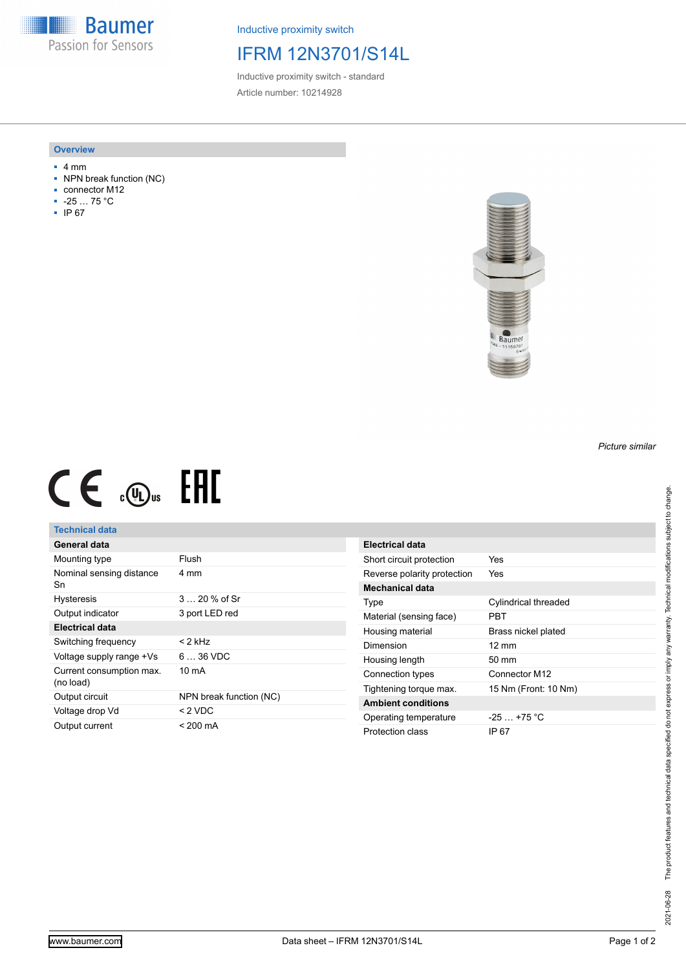**Baumer** Passion for Sensors

Inductive proximity switch

## IFRM 12N3701/S14L

Inductive proximity switch - standard Article number: 10214928

#### **Overview**

- 4 mm
- NPN break function (NC)
- connector M12
- -25 … 75 °C
- IP 67



# $CE \mathcal{L}$  .  $\mathbb{G}_{\text{us}}$  FHI

### **Technical data**

| General data                          |                         |
|---------------------------------------|-------------------------|
| Mounting type                         | Flush                   |
| Nominal sensing distance<br>Sn        | 4 mm                    |
| <b>Hysteresis</b>                     | $3 \dots 20 \%$ of Sr   |
| Output indicator                      | 3 port LED red          |
| Electrical data                       |                         |
| Switching frequency                   | < 2 kHz                 |
| Voltage supply range +Vs              | $636$ VDC               |
| Current consumption max.<br>(no load) | 10 mA                   |
| Output circuit                        | NPN break function (NC) |
| Voltage drop Vd                       | $< 2$ VDC               |
| Output current                        | < 200 mA                |

| Electrical data             |                      |
|-----------------------------|----------------------|
| Short circuit protection    | Yes                  |
| Reverse polarity protection | Yes                  |
| <b>Mechanical data</b>      |                      |
| Type                        | Cylindrical threaded |
| Material (sensing face)     | PRT                  |
| Housing material            | Brass nickel plated  |
| Dimension                   | $12 \text{ mm}$      |
| Housing length              | $50 \text{ mm}$      |
| Connection types            | Connector M12        |
| Tightening torque max.      | 15 Nm (Front: 10 Nm) |
| <b>Ambient conditions</b>   |                      |
| Operating temperature       | $-25+75 °C$          |
| Protection class            | IP 67                |